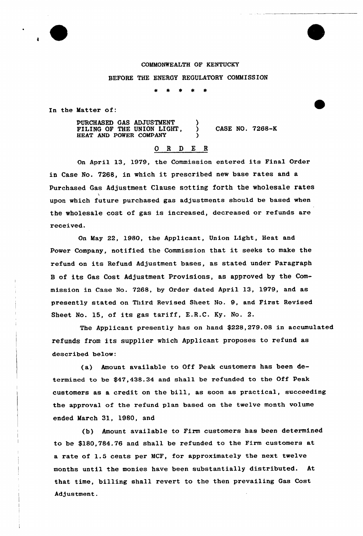## COMMONWEALTH OF KENTUCKY

## BEFORE THE ENERGY REGULATORY COMMISSION

In the Matter of:

PURCHASED GAS ADJUSTMENT FILING OF THE UNION LIGHT, HEAT AND POWER COMPANY ) ) CASE NO. 7268-K )

## 0 <sup>R</sup> <sup>D</sup> E R

On April 13, 1979, the Commission entered its Final Order in Case No. 7268, in which it prescribed new base rates and <sup>a</sup> Purchased Gas Adjustment Clause setting forth the wholesale rates upon which future purchased gas adjustments should be based when the wholesale cost of gas is increased, decreased or refunds are received.

On May 22, 1980, the Applicant, Union Light, Heat and Power Company, notified the Commission that it seeks to make the refund on its Refund Adjustment bases, as stated under Paragraph <sup>B</sup> of its Gas Cost Adjustment Provisions, as approved by the Commission in Case No. 7268, by Order dated Apxil 13, 1979, and as presently stated on Third Revised Sheet No. 9, and First Revised Sheet No. 15, of its gas tariff, E.R.C. Ky. No. 2.

The Applicant presently has on hand \$228,279.08 in accumulated refunds from its supplier which Applicant proposes to refund as described below:

(a) Amount available to Off Peak customers has been detexmined to be \$47,438.34 and shall be xefunded to the Off Peak customers as a credit on the bill, as soon as practical, succeeding the approval of the refund plan based on the twelve month volume ended March 31, 1980, and

(b) Amount available to Firm customers has been determined to be \$180,784.76 and shall be refunded to the Firm customers at a rate of 1.5 cents per MCF, for approximately the next twelve months until the monies have been substantially distributed. At that time, billing shall revert to the then prevailing Gas Cost Adjustment.